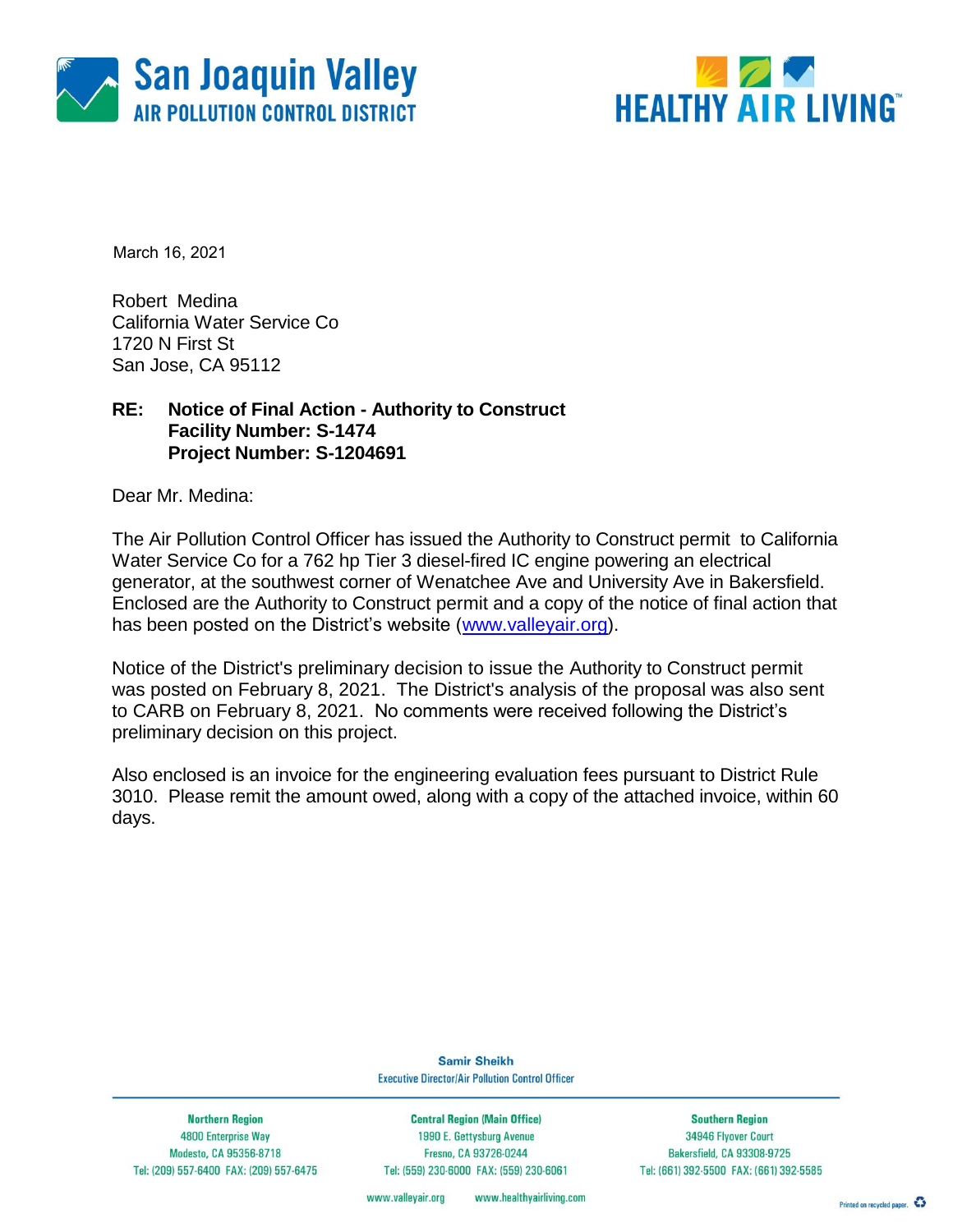



March 16, 2021

Robert Medina California Water Service Co 1720 N First St San Jose, CA 95112

### **RE: Notice of Final Action - Authority to Construct Facility Number: S-1474 Project Number: S-1204691**

Dear Mr. Medina:

The Air Pollution Control Officer has issued the Authority to Construct permit to California Water Service Co for a 762 hp Tier 3 diesel-fired IC engine powering an electrical generator, at the southwest corner of Wenatchee Ave and University Ave in Bakersfield. Enclosed are the Authority to Construct permit and a copy of the notice of final action that has been posted on the District's website [\(www.valleyair.org\)](http://www.valleyair.org/).

Notice of the District's preliminary decision to issue the Authority to Construct permit was posted on February 8, 2021. The District's analysis of the proposal was also sent to CARB on February 8, 2021. No comments were received following the District's preliminary decision on this project.

Also enclosed is an invoice for the engineering evaluation fees pursuant to District Rule 3010. Please remit the amount owed, along with a copy of the attached invoice, within 60 days.

> **Samir Sheikh Executive Director/Air Pollution Control Officer**

**Northern Region** 4800 Enterprise Way Modesto, CA 95356-8718 Tel: (209) 557-6400 FAX: (209) 557-6475

**Central Region (Main Office)** 1990 E. Gettysburg Avenue Fresno, CA 93726-0244 Tel: (559) 230-6000 FAX: (559) 230-6061

**Southern Region** 34946 Flyover Court Bakersfield, CA 93308-9725 Tel: (661) 392-5500 FAX: (661) 392-5585

www.valleyair.org www.healthyairliving.com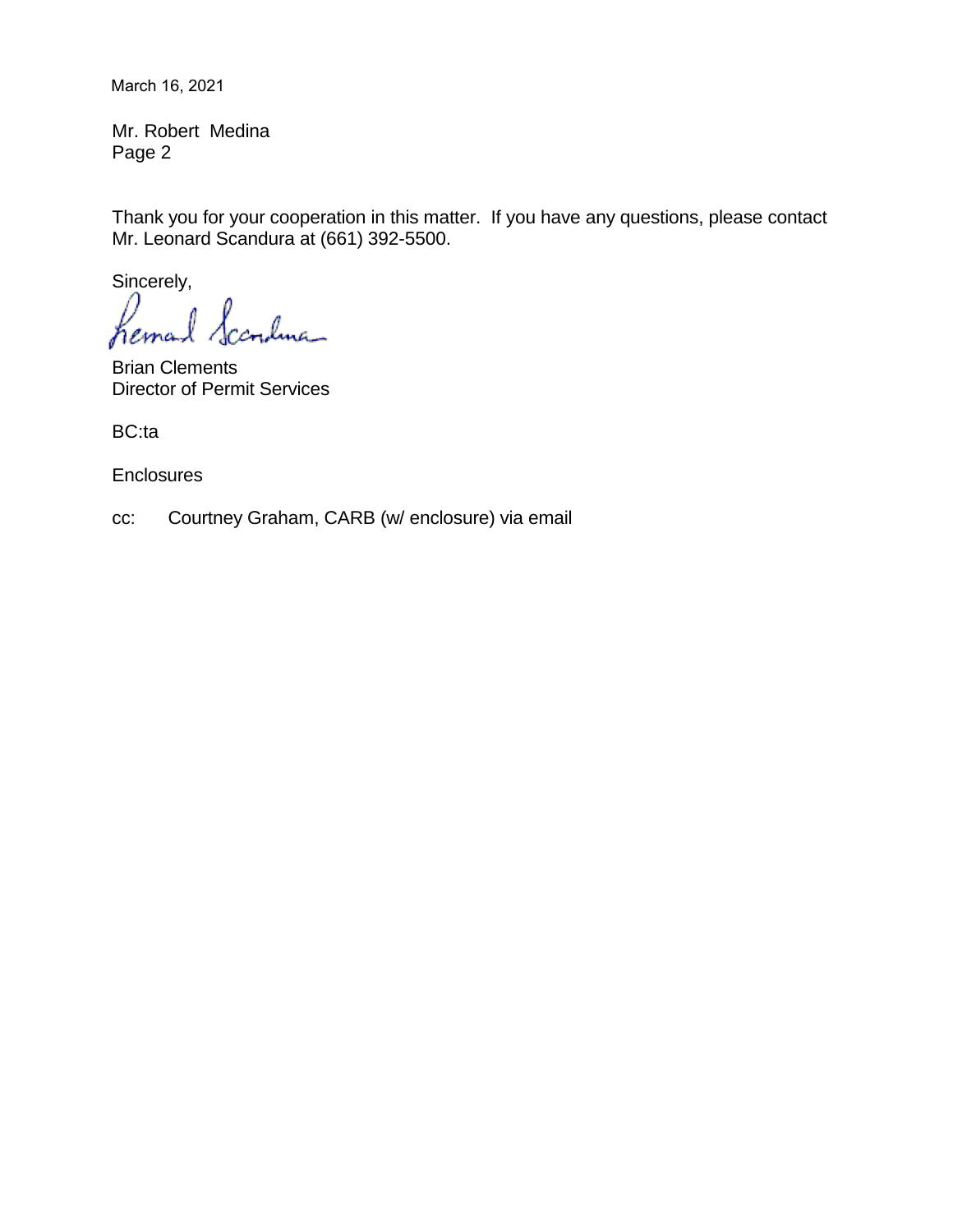March 16, 2021

Mr. Robert Medina Page 2

Thank you for your cooperation in this matter. If you have any questions, please contact Mr. Leonard Scandura at (661) 392-5500.

Sincerely,

Scandma hemal

Brian Clements Director of Permit Services

BC:ta

**Enclosures** 

cc: Courtney Graham, CARB (w/ enclosure) via email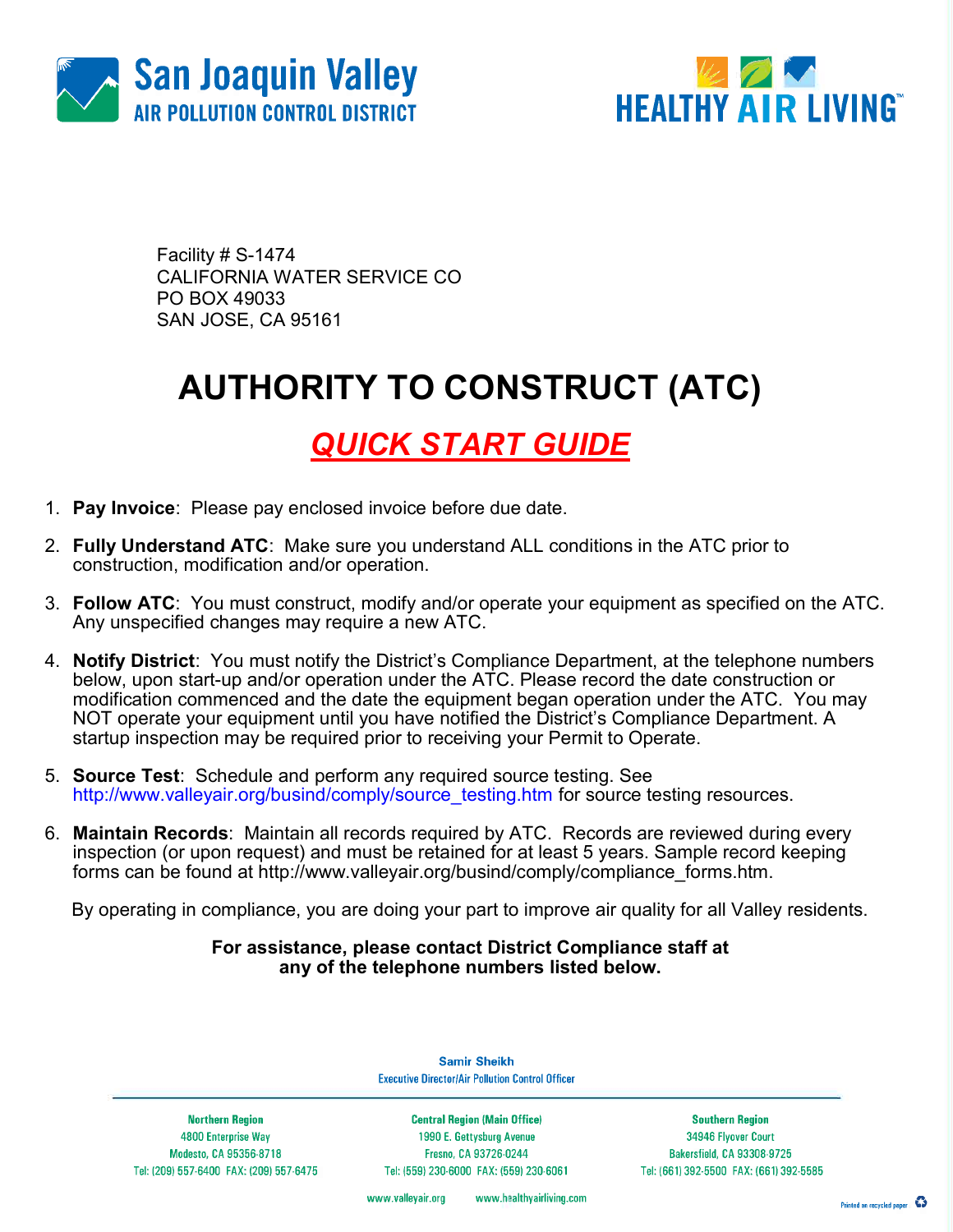



Facility # S-1474 CALIFORNIA WATER SERVICE CO PO BOX 49033 SAN JOSE, CA 95161

# AUTHORITY TO CONSTRUCT (ATC)

### QUICK START GUIDE

- 1. Pay Invoice: Please pay enclosed invoice before due date.
- 2. Fully Understand ATC: Make sure you understand ALL conditions in the ATC prior to construction, modification and/or operation.
- 3. Follow ATC: You must construct, modify and/or operate your equipment as specified on the ATC. Any unspecified changes may require a new ATC.
- 4. Notify District: You must notify the District's Compliance Department, at the telephone numbers below, upon start-up and/or operation under the ATC. Please record the date construction or modification commenced and the date the equipment began operation under the ATC. You may NOT operate your equipment until you have notified the District's Compliance Department. A startup inspection may be required prior to receiving your Permit to Operate.
- 5. Source Test: Schedule and perform any required source testing. See http://www.valleyair.org/busind/comply/source\_testing.htm for source testing resources.
- 6. Maintain Records: Maintain all records required by ATC. Records are reviewed during every inspection (or upon request) and must be retained for at least 5 years. Sample record keeping forms can be found at http://www.valleyair.org/busind/comply/compliance\_forms.htm.

By operating in compliance, you are doing your part to improve air quality for all Valley residents.

#### For assistance, please contact District Compliance staff at any of the telephone numbers listed below.

**Northern Region** 4800 Enterprise Way Modesto, CA 95356-8718 Tel: (209) 557-6400 FAX: (209) 557-6475

**Samir Sheikh Executive Director/Air Pollution Control Officer** 

**Central Region (Main Office)** 1990 E. Gettysburg Avenue Fresno, CA 93726-0244 Tel: (559) 230-6000 FAX: (559) 230-6061

**Southern Region** 34946 Flyover Court Bakersfield, CA 93308-9725 Tel: (661) 392-5500 FAX: (661) 392-5585

www.valleyair.org www.healthyairliving.com

Printed on recycled paper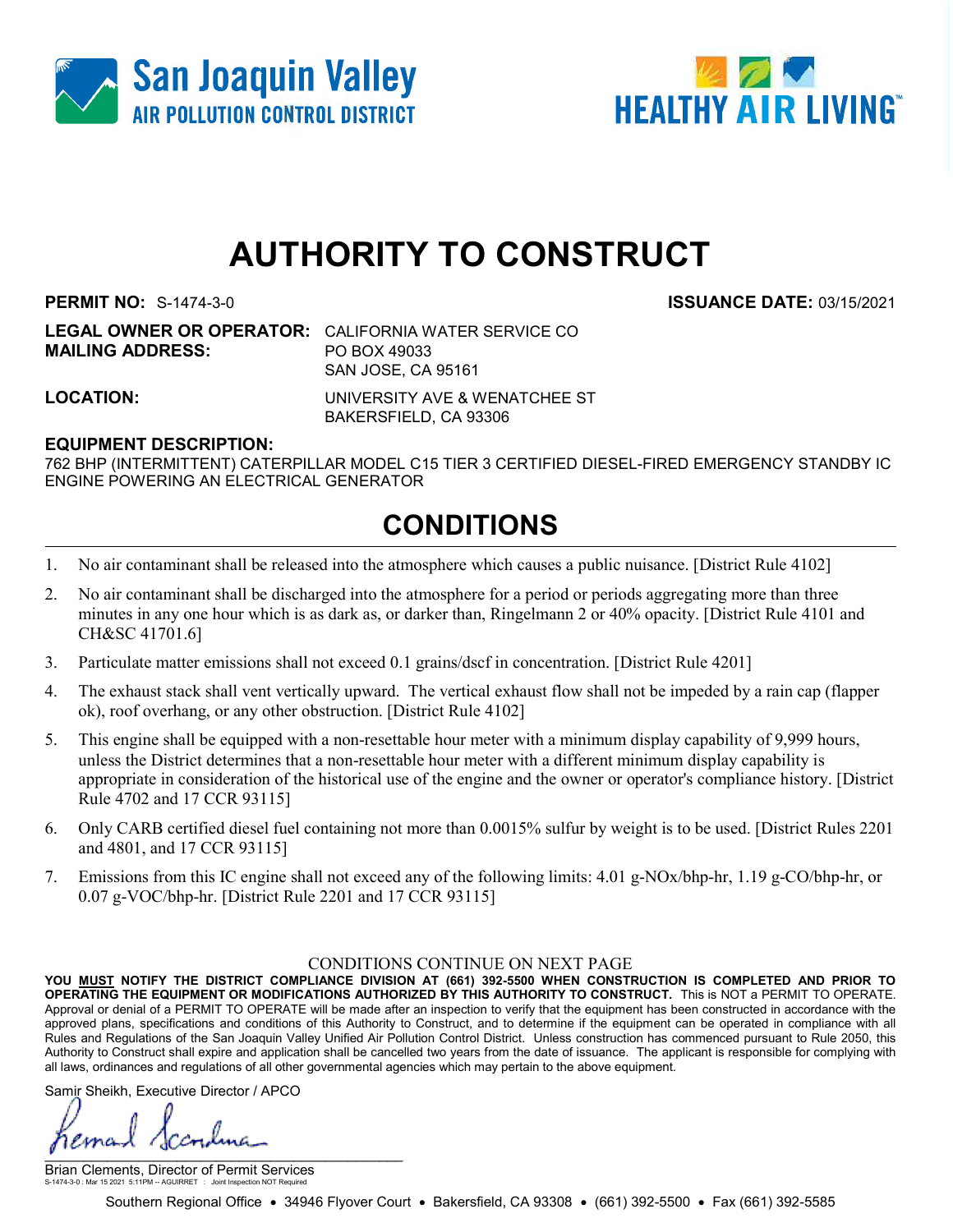



## AUTHORITY TO CONSTRUCT

PERMIT NO: S-1474-3-0 ISSUANCE DATE: 03/15/2021

LEGAL OWNER OR OPERATOR: CALIFORNIA WATER SERVICE CO MAILING ADDRESS: PO BOX 49033 SAN JOSE, CA 95161

LOCATION: UNIVERSITY AVE & WENATCHEE ST BAKERSFIELD, CA 93306

#### EQUIPMENT DESCRIPTION:

762 BHP (INTERMITTENT) CATERPILLAR MODEL C15 TIER 3 CERTIFIED DIESEL-FIRED EMERGENCY STANDBY IC ENGINE POWERING AN ELECTRICAL GENERATOR

### CONDITIONS

- 1. No air contaminant shall be released into the atmosphere which causes a public nuisance. [District Rule 4102]
- 2. No air contaminant shall be discharged into the atmosphere for a period or periods aggregating more than three minutes in any one hour which is as dark as, or darker than, Ringelmann 2 or 40% opacity. [District Rule 4101 and CH&SC 41701.6]
- 3. Particulate matter emissions shall not exceed 0.1 grains/dscf in concentration. [District Rule 4201]
- 4. The exhaust stack shall vent vertically upward. The vertical exhaust flow shall not be impeded by a rain cap (flapper ok), roof overhang, or any other obstruction. [District Rule 4102]
- 5. This engine shall be equipped with a non-resettable hour meter with a minimum display capability of 9,999 hours, unless the District determines that a non-resettable hour meter with a different minimum display capability is appropriate in consideration of the historical use of the engine and the owner or operator's compliance history. [District Rule 4702 and 17 CCR 93115]
- 6. Only CARB certified diesel fuel containing not more than 0.0015% sulfur by weight is to be used. [District Rules 2201 and 4801, and 17 CCR 93115]
- 7. Emissions from this IC engine shall not exceed any of the following limits: 4.01 g-NOx/bhp-hr, 1.19 g-CO/bhp-hr, or 0.07 g-VOC/bhp-hr. [District Rule 2201 and 17 CCR 93115]

#### CONDITIONS CONTINUE ON NEXT PAGE

YOU MUST NOTIFY THE DISTRICT COMPLIANCE DIVISION AT (661) 392-5500 WHEN CONSTRUCTION IS COMPLETED AND PRIOR TO OPERATING THE EQUIPMENT OR MODIFICATIONS AUTHORIZED BY THIS AUTHORITY TO CONSTRUCT. This is NOT a PERMIT TO OPERATE. Approval or denial of a PERMIT TO OPERATE will be made after an inspection to verify that the equipment has been constructed in accordance with the approved plans, specifications and conditions of this Authority to Construct, and to determine if the equipment can be operated in compliance with all Rules and Regulations of the San Joaquin Valley Unified Air Pollution Control District. Unless construction has commenced pursuant to Rule 2050, this Authority to Construct shall expire and application shall be cancelled two years from the date of issuance. The applicant is responsible for complying with all laws, ordinances and regulations of all other governmental agencies which may pertain to the above equipment.

Samir Sheikh, Executive Director / APCO

ema  $\mathbf{y}$  and the set of the set of the set of the set of the set of the set of the set of the set of the set of the set of the set of the set of the set of the set of the set of the set of the set of the set of the set of

Brian Clements, Director of Permit Services S-1474-3-0 : Mar 15 2021 5:11PM -- AGUIRRET : Joint Inspection NOT Required

Southern Regional Office • 34946 Flyover Court • Bakersfield, CA 93308 • (661) 392-5500 • Fax (661) 392-5585